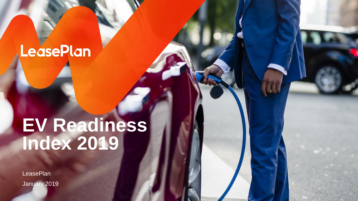### **LeasePlan**

## **EV Readiness Index 2019**

**LeasePlan** January 2019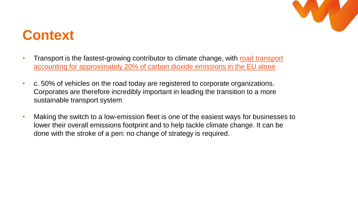

### **Context**

- Transport is the fastest-growing contributor to climate change, with road transport [accounting for approximately 20% of carbon dioxide emissions in the EU alone](https://ec.europa.eu/clima/policies/transport/vehicles_en)
- c. 50% of vehicles on the road today are registered to corporate organizations. Corporates are therefore incredibly important in leading the transition to a more sustainable transport system
- Making the switch to a low-emission fleet is one of the easiest ways for businesses to lower their overall emissions footprint and to help tackle climate change. It can be done with the stroke of a pen: no change of strategy is required.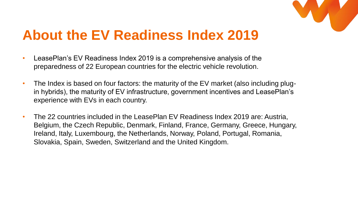

### **About the EV Readiness Index 2019**

- LeasePlan's EV Readiness Index 2019 is a comprehensive analysis of the preparedness of 22 European countries for the electric vehicle revolution.
- The Index is based on four factors: the maturity of the EV market (also including plugin hybrids), the maturity of EV infrastructure, government incentives and LeasePlan's experience with EVs in each country.
- The 22 countries included in the LeasePlan EV Readiness Index 2019 are: Austria, Belgium, the Czech Republic, Denmark, Finland, France, Germany, Greece, Hungary, Ireland, Italy, Luxembourg, the Netherlands, Norway, Poland, Portugal, Romania, Slovakia, Spain, Sweden, Switzerland and the United Kingdom.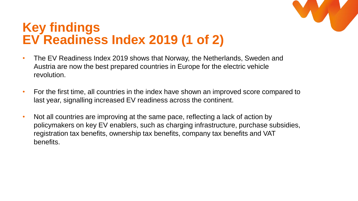

#### **Key findings EV Readiness Index 2019 (1 of 2)**

- The EV Readiness Index 2019 shows that Norway, the Netherlands, Sweden and Austria are now the best prepared countries in Europe for the electric vehicle revolution.
- For the first time, all countries in the index have shown an improved score compared to last year, signalling increased EV readiness across the continent.
- Not all countries are improving at the same pace, reflecting a lack of action by policymakers on key EV enablers, such as charging infrastructure, purchase subsidies, registration tax benefits, ownership tax benefits, company tax benefits and VAT benefits.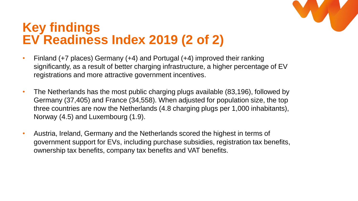

#### **Key findings EV Readiness Index 2019 (2 of 2)**

- Finland (+7 places) Germany (+4) and Portugal (+4) improved their ranking significantly, as a result of better charging infrastructure, a higher percentage of EV registrations and more attractive government incentives.
- The Netherlands has the most public charging plugs available (83,196), followed by Germany (37,405) and France (34,558). When adjusted for population size, the top three countries are now the Netherlands (4.8 charging plugs per 1,000 inhabitants), Norway (4.5) and Luxembourg (1.9).
- Austria, Ireland, Germany and the Netherlands scored the highest in terms of government support for EVs, including purchase subsidies, registration tax benefits, ownership tax benefits, company tax benefits and VAT benefits.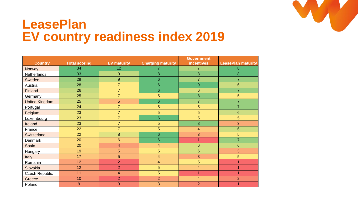

#### **LeasePlan EV country readiness index 2019**

|                       |                      |                    |                          | <b>Government</b> |                           |  |
|-----------------------|----------------------|--------------------|--------------------------|-------------------|---------------------------|--|
| <b>Country</b>        | <b>Total scoring</b> | <b>EV maturity</b> | <b>Charging maturity</b> | <b>incentives</b> | <b>LeasePlan maturity</b> |  |
| Norway                | 34                   | 12                 |                          | 7                 | 8                         |  |
| Netherlands           | 33                   | 9                  | 8                        | 8                 | 8                         |  |
| Sweden                | 29                   | 9                  | 6                        | $\overline{7}$    | $\overline{7}$            |  |
| Austria               | 28                   | $\overline{7}$     | 6                        | 9                 | 6                         |  |
| Finland               | 26                   | $\overline{7}$     | 6                        | 6                 | $\overline{7}$            |  |
| Germany               | 25                   | $\overline{7}$     | 5                        | 8                 | 5                         |  |
| <b>United Kingdom</b> | 25                   | 5                  | 6                        | $\overline{7}$    | $\overline{7}$            |  |
| Portugal              | 24                   | $\overline{7}$     | 5                        | 5                 | $\overline{7}$            |  |
| Belgium               | 23                   | $\overline{7}$     | 5                        | 5                 | 6                         |  |
| Luxembourg            | 23                   | $\overline{7}$     | 6                        | 5                 | 5                         |  |
| Ireland               | 23                   | $\overline{7}$     | 5                        | 8                 | 3                         |  |
| France                | 22                   | $\overline{7}$     | 5                        | $\overline{4}$    | $6\phantom{1}6$           |  |
| Switzerland           | 22                   | 8                  | 6                        | 3                 | 5                         |  |
| Denmark               | 20                   | $6\phantom{1}$     | 6                        | 1                 | $\overline{7}$            |  |
| Spain                 | 20                   | $\overline{4}$     | $\overline{\mathbf{4}}$  | $6\phantom{1}6$   | $6\phantom{1}6$           |  |
| Hungary               | 19                   | 5                  | 5                        | 6                 | 3                         |  |
| Italy                 | 17                   | 5                  | $\overline{4}$           | 3                 | $\overline{5}$            |  |
| Romania               | 12                   | $\overline{2}$     | $\overline{4}$           | 5                 | 1                         |  |
| Slovakia              | 12                   | $\overline{2}$     | 5                        | $\overline{4}$    | 1                         |  |
| Czech Republic        | 11                   | 4                  | 5                        | 1                 | 1                         |  |
| Greece                | 10                   | $\overline{2}$     | $\overline{2}$           | $\overline{4}$    | $\overline{2}$            |  |
| Poland                | 9                    | 3                  | 3                        | $\overline{2}$    |                           |  |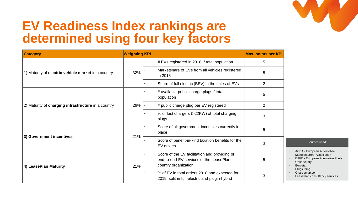

#### **EV Readiness Index rankings are determined using four key factors**

| <b>Category</b>                                     | <b>Weighting KPI</b>                                  |                                                            |                                                                                                                  | <b>Max. points per KPI</b> |  |  |  |  |
|-----------------------------------------------------|-------------------------------------------------------|------------------------------------------------------------|------------------------------------------------------------------------------------------------------------------|----------------------------|--|--|--|--|
|                                                     |                                                       |                                                            | # EVs registered in 2018 / total population                                                                      | 5                          |  |  |  |  |
| 1) Maturity of electric vehicle market in a country | 32%                                                   | Marketshare of EVs from all vehicles registered<br>in 2018 |                                                                                                                  | 5                          |  |  |  |  |
|                                                     |                                                       |                                                            | Share of full electric (BEV) in the sales of EVs                                                                 | $\overline{2}$             |  |  |  |  |
|                                                     |                                                       |                                                            | # available public charge plugs / total<br>population                                                            | 5                          |  |  |  |  |
| 2) Maturity of charging infrastructure in a country | 26%                                                   |                                                            | # public charge plug per EV registered                                                                           | $\overline{2}$             |  |  |  |  |
|                                                     | % of fast chargers (>22KW) of total charging<br>plugs |                                                            | 3                                                                                                                |                            |  |  |  |  |
|                                                     |                                                       |                                                            | Score of all government incentives currently in<br>place                                                         | 5                          |  |  |  |  |
| 3) Government incentives                            | 21%                                                   |                                                            | Score of benefit-in-kind taxation benefits for the<br>EV drivers                                                 | 3                          |  |  |  |  |
| 4) LeasePlan Maturity                               | 21%                                                   |                                                            | Score of the EV facilitation and providing of<br>end-to-end EV services of the LeasePlan<br>country organization | 5                          |  |  |  |  |
|                                                     |                                                       |                                                            | % of EV in total orders 2018 and expected for<br>2019, split in full-electric and plugin-hybrid                  | 3                          |  |  |  |  |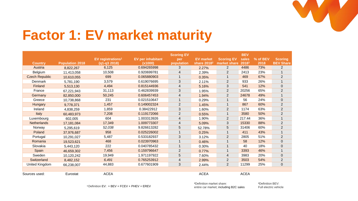

### **Factor 1: EV market maturity**

|                       |                 |                                      |                          | <b>Scoring EV</b> |                         |                   | <b>BEV</b>  |          |                  |
|-----------------------|-----------------|--------------------------------------|--------------------------|-------------------|-------------------------|-------------------|-------------|----------|------------------|
|                       |                 | <b>EV</b> registrations <sup>1</sup> | <b>EV</b> per inhabitant | per               | <b>EV market</b>        | <b>Scoring EV</b> | sales       | % of BEV | <b>Scoring</b>   |
| <b>Country</b>        | Population 2018 | (q1-q3 2018)                         | (x1000)                  | population        | share 2018 <sup>2</sup> | market share      | 20183       | 2018     | <b>BEV Share</b> |
| Austria               | 8.822.267       | 6,125                                | 0.694265998              | 3                 | 2.27%                   | $\overline{2}$    | 4486        | 73%      | $\overline{2}$   |
| Belgium               | 11,413,058      | 10.508                               | 0.920699781              | 4                 | 2.39%                   | $\overline{2}$    | 2413        | 23%      |                  |
| <b>Czech Republic</b> | 10,610,055      | 699                                  | 0.065880903              | 1                 | 0.35%                   |                   | 469         | 67%      | $\overline{2}$   |
| Denmark               | 5,781,190       | 3,579                                | 0.619076695              | 3                 | 2.11%                   | 2                 | 933         | 26%      | 1                |
| Finland               | 5,513,130       | 4,494                                | 0.815144936              | 4                 | 5.16%                   | 3                 | 541         | 12%      | $\mathbf{0}$     |
| France                | 67,221,943      | 31,113                               | 0.462839939              | 3                 | 1.95%                   | $\overline{2}$    | 20256       | 65%      | $\overline{2}$   |
| Germany               | 82,850,000      | 50,245                               | 0.606457453              | 4                 | 1.94%                   | $\overline{2}$    | 24678       | 49%      |                  |
| Greece                | 10,738,868      | 231                                  | 0.021510647              |                   | 0.29%                   |                   | 56          | 24%      | $\mathbf{0}$     |
| Hungary               | 9,778,371       | 1,457                                | 0.149002324              | $\overline{2}$    | 1.45%                   | 1                 | 867         | 60%      | $\overline{2}$   |
| Ireland               | 4,838,259       | 1,859                                | 0.38422912               | 3                 | 1.60%                   | $\overline{2}$    | 1174        | 63%      | $\overline{2}$   |
| Italy                 | 60.483.973      | 7,208                                | 0.119172066              | $\overline{2}$    | 0.55%                   |                   | 3580        | 50%      | $\overline{2}$   |
| Luxembourg            | 602,005         | 604                                  | 1.003313926              | 4                 | 1.90%                   | $\overline{2}$    | 217.44      | 36%      | $\mathbf{1}$     |
| <b>Netherlands</b>    | 17,181,084      | 17,349                               | 1.009773307              | 4                 | 5.09%                   | 3                 | 15330       | 88%      | $\overline{2}$   |
| Norway                | 5,295,619       | 52,038                               | 9.826613282              | 5                 | 52.78%                  | 5                 | 31406       | 60%      | $\overline{2}$   |
| Poland                | 37.976.687      | 958                                  | 0.025226002              |                   | 0.25%                   |                   | 411         | 43%      |                  |
| Portugal              | 10,291,027      | 5,487                                | 0.533182937              | 3                 | 3.12%                   | 2                 | 2805        | 51%      | $\overline{2}$   |
| Romania               | 19,523,621      | 468                                  | 0.023970963              |                   | 0.46%                   |                   | 58          | 12%      | $\mathbf{0}$     |
| Slovakia              | 5,443,120       | 222                                  | 0.040785432              |                   | 0.30%                   |                   | 40          | 18%      | $\mathbf{0}$     |
| Spain                 | 46.659.302      | 7,456                                | 0.159796647              | $\overline{2}$    | 0.77%                   |                   | 3393        | 46%      |                  |
| Sweden                | 10,120,242      | 19.949                               | 1.971197922              | 5                 | 7.60%                   | 4                 | 3983        | 20%      | $\mathbf 0$      |
| Switzerland           | 8,482,152       | 6,491                                | 0.765253912              | 4                 | 2.99%                   | $\overline{2}$    | 3503        | 54%      | 2                |
| United Kingdom        | 66,238,007      | 44,883                               | 0.677601909              | 3                 | 2.44%                   | $\overline{2}$    | 11299       | 25%      | $\pmb{0}$        |
|                       |                 |                                      |                          |                   |                         |                   |             |          |                  |
| Sources used:         | Eurostat        | <b>ACEA</b>                          |                          |                   | <b>ACEA</b>             |                   | <b>ACEA</b> |          |                  |

**<sup>1</sup>**Definition EV: = BEV + FCEV + PHEV + EREV

**<sup>2</sup>**Definition market share: entire car market; including B2C sales **<sup>3</sup>**Definition BEV: Full electric vehicle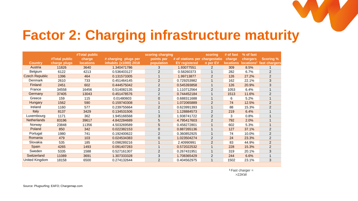### **Factor 2: Charging infrastructure maturity**

|                       |               | #Total public    |                       | scoring charging |                                | scoring        | # of fast        | % of fast              |                  |
|-----------------------|---------------|------------------|-----------------------|------------------|--------------------------------|----------------|------------------|------------------------|------------------|
|                       | #Total public | charge           | # charging plugs per  | points per       | # of stations per chargestatio |                | charge           | chargers,              | <b>Scoring %</b> |
| <b>Country</b>        | charge plugs  | <b>locations</b> | inhabits (x1000) 2018 | population       | <b>EV</b> registered           | n per EV       | <b>locations</b> | locations <sup>1</sup> | fast chargers    |
| Austria               | 11826         | 3640             | 1.340471786           | 3                | 1.93077551                     | 2              | 309              | 8.5%                   |                  |
| Belgium               | 6122          | 4213             | 0.536403127           | 2                | 0.58260373                     |                | 282              | 6.7%                   | $\overline{2}$   |
| <b>Czech Republic</b> | 1396          | 464              | 0.131573305           |                  | 1.99713877                     | $\overline{2}$ | 126              | 27.2%                  | $\overline{2}$   |
| Denmark               | 2610          | 733              | 0.451464145           | $\overline{2}$   | 0.729253982                    |                | 162              | 22.1%                  | 3                |
| Finland               | 2451          | 602              | 0.444575042           | $\overline{2}$   | 0.545393858                    |                | 126              | 20.9%                  | 3                |
| France                | 34558         | 16456            | 0.514082135           | $\overline{2}$   | 1.110712564                    | 2              | 1053             | 6.4%                   |                  |
| Germany               | 37405         | 13043            | 0.451478576           | 2                | 0.744452184                    |                | 1513             | 11.6%                  | $\overline{2}$   |
| Greece                | 159           | 115              | 0.01480603            | $\mathbf{0}$     | 0.688311688                    |                | 6                | 5.2%                   |                  |
| Hungary               | 1562          | 590              | 0.159740308           |                  | 1.072065889                    | $\overline{2}$ | 74               | 12.5%                  | $\overline{2}$   |
| Ireland               | 1160          | 577              | 0.239755664           | $\overline{2}$   | 0.623991393                    |                | 88               | 15.3%                  | $\overline{2}$   |
| Italy                 | 8137          | 3429             | 0.134531506           |                  | 1.128884573                    | 2              | 219              | 6.4%                   |                  |
| Luxembourg            | 1171          | 362              | 1.945166568           | 3                | 1.938741722                    | $\overline{2}$ | 3                | 0.8%                   |                  |
| <b>Netherlands</b>    | 83196         | 39617            | 4.842284689           | 5                | 4.795417603                    | 2              | 792              | 2.0%                   |                  |
| Norway                | 23848         | 11356            | 4.503269589           | 5                | 0.458272801                    |                | 602              | 5.3%                   |                  |
| Poland                | 850           | 342              | 0.022382153           | $\mathbf{0}$     | 0.887265136                    | $\overline{ }$ | 127              | 37.1%                  | $\overline{2}$   |
| Portugal              | 1980          | 741              | 0.192400622           | $\overline{2}$   | 0.360852925                    |                | 74               | 10.0%                  | $\overline{2}$   |
| Romania               | 479           | 103              | 0.024534383           | 0                | 1.023504274                    | 2              | 24               | 23.3%                  | $\overline{2}$   |
| Slovakia              | 535           | 185              | 0.098289216           |                  | 2.40990991                     | 2              | 83               | 44.9%                  | $\overline{2}$   |
| Spain                 | 4265          | 1493             | 0.091407283           |                  | 0.572022532                    |                | 228              | 15.3%                  | $\overline{2}$   |
| Sweden                | 5335          | 1588             | 0.527161307           | 2                | 0.267431951                    |                | 319              | 20.1%                  | 3                |
| Switzerland           | 11089         | 3691             | 1.307333328           | 3                | 1.708365429                    | 2              | 244              | 6.6%                   |                  |
| United Kingdom        | 18158         | 6500             | 0.274132644           | $\overline{2}$   | 0.404562975                    |                | 1502             | 23.1%                  | 3                |

**<sup>1</sup>**Fast charger =  $>22$ KW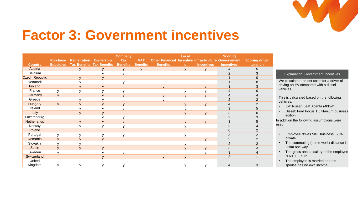

#### **Factor 3: Government incentives**

|                       |                  |                                  |                | <b>Company</b>  |                 |                                                             | Local        |                   | <b>Scoring</b> |                       |                                             |
|-----------------------|------------------|----------------------------------|----------------|-----------------|-----------------|-------------------------------------------------------------|--------------|-------------------|----------------|-----------------------|---------------------------------------------|
|                       | <b>Purchase</b>  | <b>Registration Ownership</b>    |                | <b>Tax</b>      | <b>VAT</b>      | <b>Other Financial Incentive Infrastructure Governement</b> |              |                   |                | <b>Scoring driver</b> |                                             |
| <b>Country</b>        | <b>Subsidies</b> | <b>Tax Benefits Tax Benefits</b> |                | <b>Benefits</b> | <b>Benefits</b> | <b>Benefits</b>                                             | s            | <b>Incentives</b> | incentives     | taxation              |                                             |
| Austria               |                  |                                  |                |                 |                 |                                                             | $\mathbf{v}$ | $\mathbf{v}$      | $\overline{4}$ |                       |                                             |
| Belgium               |                  |                                  |                |                 |                 |                                                             |              |                   |                |                       | Explanation: Government incentives          |
| <b>Czech Republic</b> |                  |                                  |                |                 |                 |                                                             |              |                   |                |                       |                                             |
| Denmark               |                  |                                  |                |                 |                 |                                                             |              |                   |                |                       | We calculated the net costs for a driver of |
| Finland               |                  |                                  | $\mathbf{V}$   |                 |                 |                                                             |              |                   |                |                       | driving an EV compared with a diesel        |
| France                |                  |                                  |                |                 |                 |                                                             |              |                   |                |                       | vehicles.                                   |
| Germany               |                  |                                  |                |                 |                 |                                                             |              |                   |                |                       |                                             |
| Greece                |                  |                                  |                |                 |                 |                                                             |              |                   |                |                       | This is calculated based on the following   |
| Hungary               |                  |                                  |                |                 |                 |                                                             |              |                   |                |                       | vehicles:                                   |
| Ireland               |                  |                                  |                |                 |                 |                                                             |              |                   |                |                       | EV: Nissan Leaf Acenta (40kwh)              |
| Italy                 |                  |                                  |                |                 |                 |                                                             |              | $\mathbf{v}$      |                |                       | Diesel: Ford Focus 1.5 titanium business    |
| Luxembourg            |                  |                                  |                |                 |                 |                                                             |              |                   |                |                       | edition                                     |
| <b>Netherlands</b>    |                  |                                  |                |                 |                 |                                                             |              | $\mathbf{V}$      |                |                       | In addition the following assumptions were  |
| Norway                |                  |                                  | $\mathbf{v}$   |                 |                 |                                                             |              |                   |                |                       | used:                                       |
| Poland                |                  |                                  |                |                 |                 |                                                             |              |                   |                |                       |                                             |
| Portugal              | $\mathsf{v}$     |                                  |                |                 |                 |                                                             |              |                   |                |                       | Employee drives 50% business, 50%           |
| Romania               | $\mathbf{v}$     |                                  | $\overline{u}$ |                 |                 |                                                             |              |                   |                |                       | private                                     |
| Slovakia              |                  |                                  |                |                 |                 |                                                             |              |                   |                |                       | The commuting (home-work) distance is       |
| Spain                 |                  |                                  | $\overline{V}$ |                 |                 |                                                             |              | $\mathbf{v}$      |                |                       | 25km one way                                |
| Sweden                |                  |                                  |                |                 |                 |                                                             |              |                   | 3              |                       | The gross annual salary of the employee     |
| Switzerland           |                  |                                  |                |                 |                 | $\mathbf{V}$                                                |              |                   | 2              |                       | is 60,000 euro                              |
| United                |                  |                                  |                |                 |                 |                                                             |              |                   |                |                       | The employee is married and the             |
| Kingdom               |                  |                                  |                |                 |                 |                                                             |              |                   |                |                       | spouse has no own income                    |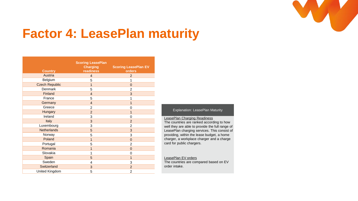

#### **Factor 4: LeasePlan maturity**

| <b>Country</b>        | <b>Scoring LeasePlan</b><br><b>Charging</b><br>readiness | <b>Scoring LeasePlan EV</b><br>orders |
|-----------------------|----------------------------------------------------------|---------------------------------------|
| Austria               | $\overline{4}$                                           | $\overline{2}$                        |
| Belgium               | 5                                                        | 1                                     |
| <b>Czech Republic</b> | 1                                                        | $\mathbf{0}$                          |
| Denmark               | 5                                                        | $\overline{2}$                        |
| Finland               | $\overline{4}$                                           | 3                                     |
| France                | 5                                                        | 1                                     |
| Germany               | $\overline{4}$                                           | 1                                     |
| Greece                | 2                                                        | 0                                     |
| Hungary               | $\overline{2}$                                           | 1                                     |
| Ireland               | 3                                                        | 0                                     |
| Italy                 | 3                                                        | $\overline{2}$                        |
| Luxembourg            | 3                                                        | $\overline{2}$                        |
| <b>Netherlands</b>    | 5                                                        | 3                                     |
| Norway                | 5                                                        | 3                                     |
| Poland                | $\overline{1}$                                           | $\mathbf{0}$                          |
| Portugal              | 5                                                        | $\overline{2}$                        |
| Romania               | 1                                                        | $\mathbf{0}$                          |
| Slovakia              | 1                                                        | 0                                     |
| Spain                 | 5                                                        | $\mathbf{1}$                          |
| Sweden                | 4                                                        | 3                                     |
| Switzerland           | 3                                                        | $\overline{2}$                        |
| United Kingdom        | 5                                                        | 2                                     |

#### Explanation: LeasePlan Maturity

#### LeasePlan Charging Readiness

The countries are ranked according to how well they are able to provide the full range of LeasePlan charging services. This consist of providing, within the lease budget, a home charger, a workplace charger and a charge card for public chargers.

#### LeasePlan EV orders

The countries are compared based on EV order intake.